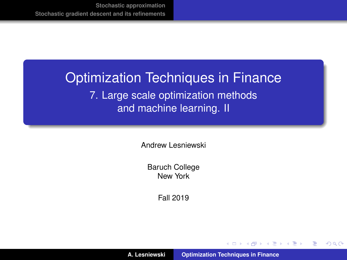# <span id="page-0-0"></span>Optimization Techniques in Finance 7. Large scale optimization methods and machine learning. II

Andrew Lesniewski

Baruch College New York

Fall 2019

(ロトス個) (運) (運)

 $299$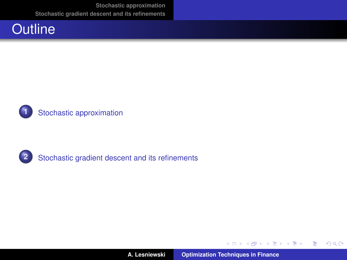





**A. Lesniewski [Optimization Techniques in Finance](#page-0-0)**

イロメ イ部メ イヨメ イヨメー

重。  $299$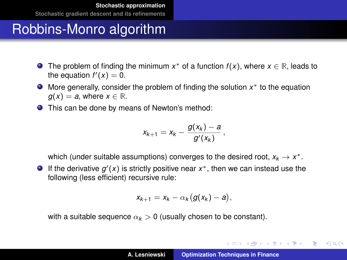- <span id="page-2-0"></span>The problem of finding the minimum  $x^*$  of a function  $f(x)$ , where  $x \in \mathbb{R}$ , leads to the equation  $f'(x) = 0$ .
- More generally, consider the problem of finding the solution *x* <sup>∗</sup> to the equation  $g(x) = a$ , where  $x \in \mathbb{R}$ .
- This can be done by means of Newton's method:

$$
x_{k+1} = x_k - \frac{g(x_k) - a}{g'(x_k)},
$$

which (under suitable assumptions) converges to the desired root,  $x_k \to x^*$ .

If the derivative  $g'(x)$  is strictly positive near  $x^*$ , then we can instead use the following (less efficient) recursive rule:

$$
x_{k+1}=x_k-\alpha_k\big(g(x_k)-a\big),
$$

with a suitable sequence  $\alpha_k > 0$  (usually chosen to be constant).

K ロ ⊁ K 伊 ⊁ K 君 ⊁ K 君 ⊁ …

 $299$ 唐山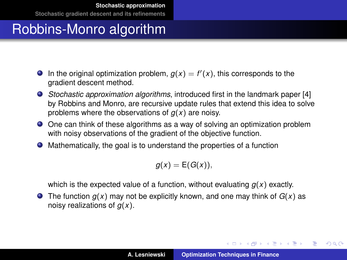- In the original optimization problem,  $g(x) = f'(x)$ , this corresponds to the gradient descent method.
- *Stochastic approximation algorithms*, introduced first in the landmark paper [\[4\]](#page-29-1) by Robbins and Monro, are recursive update rules that extend this idea to solve problems where the observations of *g*(*x*) are noisy.
- One can think of these algorithms as a way of solving an optimization problem with noisy observations of the gradient of the objective function.
- Mathematically, the goal is to understand the properties of a function

$$
g(x) = \mathsf{E}(G(x)),
$$

which is the expected value of a function, without evaluating *g*(*x*) exactly.

**•** The function  $g(x)$  may not be explicitly known, and one may think of  $G(x)$  as noisy realizations of *g*(*x*).

イロメ イ団メ イヨメ イヨメー

 $299$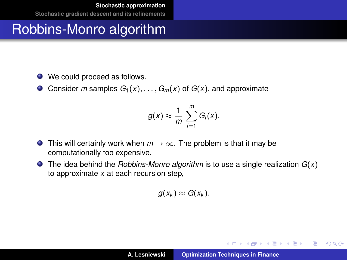- $\bullet$  We could proceed as follows.
- Consider *m* samples  $G_1(x), \ldots, G_m(x)$  of  $G(x)$ , and approximate

$$
g(x) \approx \frac{1}{m} \sum_{i=1}^m G_i(x).
$$

- **O** This will certainly work when  $m \to \infty$ . The problem is that it may be computationally too expensive.
- The idea behind the *Robbins-Monro algorithm* is to use a single realization *G*(*x*) to approximate *x* at each recursion step,

$$
g(x_k) \approx G(x_k).
$$

イロメ イ団メ イヨメ イヨメー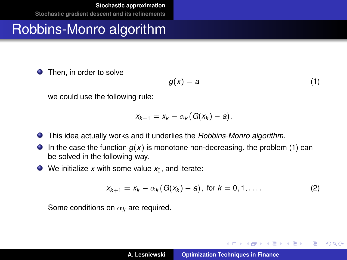**•** Then, in order to solve

<span id="page-5-0"></span>
$$
g(x) = a \tag{1}
$$

イロメ イ部メ イヨメ イヨメー

重

 $298$ 

we could use the following rule:

$$
x_{k+1}=x_k-\alpha_k(G(x_k)-a).
$$

- This idea actually works and it underlies the *Robbins-Monro algorithm*.
- **In the case the function**  $g(x)$  **is monotone non-decreasing, the problem [\(1\)](#page-5-0) can** be solved in the following way.
- $\bullet$  We initialize *x* with some value  $x_0$ , and iterate:

<span id="page-5-1"></span>
$$
x_{k+1} = x_k - \alpha_k (G(x_k) - a), \text{ for } k = 0, 1, .... \tag{2}
$$

Some conditions on α*<sup>k</sup>* are required.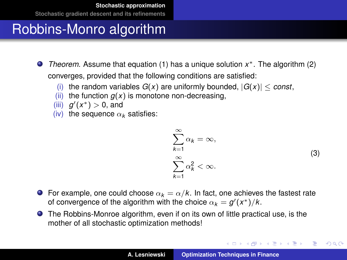# Robbins-Monro algorithm

- *Theorem.* Assume that equation [\(1\)](#page-5-0) has a unique solution *x* <sup>∗</sup>. The algorithm [\(2\)](#page-5-1) converges, provided that the following conditions are satisfied:
	- (i) the random variables  $G(x)$  are uniformly bounded,  $|G(x)| \leq const$ ,
	- (ii) the function  $q(x)$  is monotone non-decreasing,
	- (iii)  $g'(x^*) > 0$ , and
	- (iv) the sequence  $\alpha_k$  satisfies:

$$
\sum_{k=1}^{\infty} \alpha_k = \infty,
$$
  

$$
\sum_{k=1}^{\infty} \alpha_k^2 < \infty.
$$
 (3)

イロトメ 御 トメ 君 トメ 君 トー

重

 $298$ 

- **For example, one could choose**  $\alpha_k = \alpha/k$ . In fact, one achieves the fastest rate of convergence of the algorithm with the choice  $\alpha_k = g'(x^*)/k$ .
- The Robbins-Monroe algorithm, even if on its own of little practical use, is the mother of all stochastic optimization methods!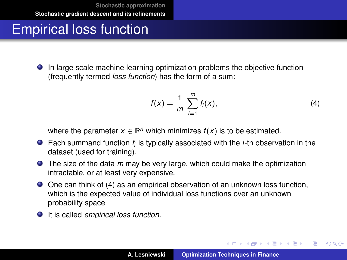# <span id="page-7-0"></span>Empirical loss function

In large scale machine learning optimization problems the objective function (frequently termed *loss function*) has the form of a sum:

<span id="page-7-1"></span>
$$
f(x) = \frac{1}{m} \sum_{i=1}^{m} f_i(x),
$$
 (4)

イロメ イ部メ イヨメ イヨメー

 $QQ$ ÷.

where the parameter  $x \in \mathbb{R}^n$  which minimizes  $f(x)$  is to be estimated.

- Each summand function  $f_i$  is typically associated with the *i*-th observation in the dataset (used for training).
- The size of the data *m* may be very large, which could make the optimization intractable, or at least very expensive.
- One can think of [\(4\)](#page-7-1) as an empirical observation of an unknown loss function, which is the expected value of individual loss functions over an unknown probability space
- It is called *empirical loss function*.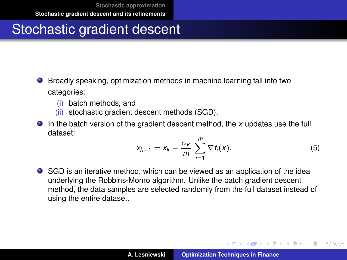# Stochastic gradient descent

- Broadly speaking, optimization methods in machine learning fall into two categories:
	- (i) batch methods, and
	- (ii) stochastic gradient descent methods (SGD).
- In the batch version of the gradient descent method, the *x* updates use the full dataset:

$$
x_{k+1} = x_k - \frac{\alpha_k}{m} \sum_{i=1}^m \nabla f_i(x). \tag{5}
$$

イロメ イ部メ イヨメ イヨメー

 $QQQ$ Þ

SGD is an iterative method, which can be viewed as an application of the idea underlying the Robbins-Monro algorithm. Unlike the batch gradient descent method, the data samples are selected randomly from the full dataset instead of using the entire dataset.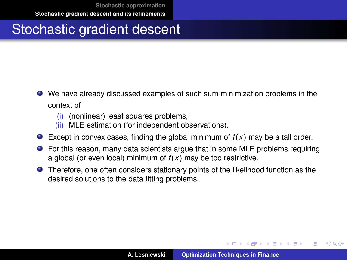# Stochastic gradient descent

- We have already discussed examples of such sum-minimization problems in the context of
	- (i) (nonlinear) least squares problems,
	- (ii) MLE estimation (for independent observations).
- Except in convex cases, finding the global minimum of  $f(x)$  may be a tall order.
- For this reason, many data scientists argue that in some MLE problems requiring a global (or even local) minimum of  $f(x)$  may be too restrictive.
- Therefore, one often considers stationary points of the likelihood function as the desired solutions to the data fitting problems.

イロメ イ部メ イ君メ イ君メー

Þ

 $QQ$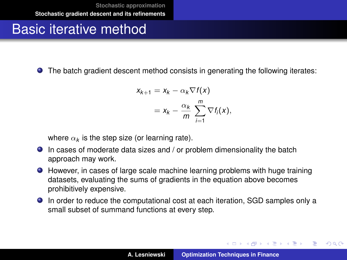# Basic iterative method

The batch gradient descent method consists in generating the following iterates:

$$
x_{k+1} = x_k - \alpha_k \nabla f(x)
$$
  
=  $x_k - \frac{\alpha_k}{m} \sum_{i=1}^m \nabla f_i(x)$ ,

where  $\alpha_{\pmb{k}}$  is the step size (or learning rate).

- In cases of moderate data sizes and / or problem dimensionality the batch approach may work.
- However, in cases of large scale machine learning problems with huge training datasets, evaluating the sums of gradients in the equation above becomes prohibitively expensive.
- In order to reduce the computational cost at each iteration, SGD samples only a small subset of summand functions at every step.

イロメ イ団メ イヨメ イヨメー

 $QQ$ 

÷.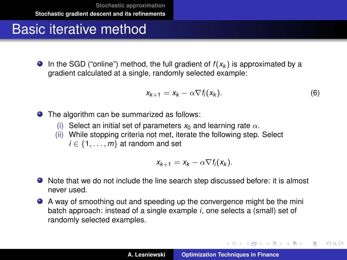#### Basic iterative method

 $\bullet$  In the SGD ("online") method, the full gradient of  $f(x_k)$  is approximated by a gradient calculated at a single, randomly selected example:

$$
x_{k+1} = x_k - \alpha \nabla f_i(x_k). \tag{6}
$$

K ロ ⊁ K 伊 ⊁ K 君 ⊁ K 君 ⊁ …

重し  $299$ 

The algorithm can be summarized as follows:

- (i) Select an initial set of parameters  $x_0$  and learning rate  $\alpha$ .
- (ii) While stopping criteria not met, iterate the following step. Select  $i \in \{1, \ldots, m\}$  at random and set

$$
x_{k+1} = x_k - \alpha \nabla f_i(x_k).
$$

- Note that we do not include the line search step discussed before: it is almost never used.
- A way of smoothing out and speeding up the convergence might be the mini batch approach: instead of a single example *i*, one selects a (small) set of randomly selected examples.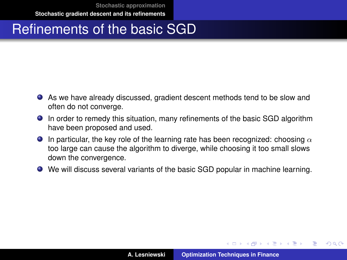# Refinements of the basic SGD

- As we have already discussed, gradient descent methods tend to be slow and often do not converge.
- In order to remedy this situation, many refinements of the basic SGD algorithm have been proposed and used.
- **In particular, the key role of the learning rate has been recognized: choosing**  $\alpha$ too large can cause the algorithm to diverge, while choosing it too small slows down the convergence.
- We will discuss several variants of the basic SGD popular in machine learning.

イロメ イ部メ イヨメ イヨメー

 $QQ$ 

Þ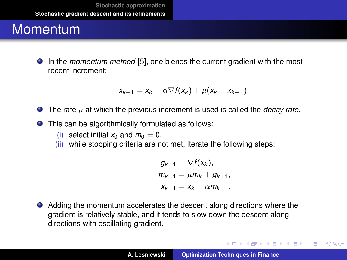#### **Momentum**

In the *momentum method* [\[5\]](#page-29-2), one blends the current gradient with the most recent increment:

$$
x_{k+1} = x_k - \alpha \nabla f(x_k) + \mu (x_k - x_{k-1}).
$$

- $\bullet$  The rate  $\mu$  at which the previous increment is used is called the *decay rate*.
- This can be algorithmically formulated as follows:
	- (i) select initial  $x_0$  and  $m_0 = 0$ ,
	- (ii) while stopping criteria are not met, iterate the following steps:

$$
g_{k+1} = \nabla f(x_k),
$$
  
\n
$$
m_{k+1} = \mu m_k + g_{k+1},
$$
  
\n
$$
x_{k+1} = x_k - \alpha m_{k+1}.
$$

Adding the momentum accelerates the descent along directions where the gradient is relatively stable, and it tends to slow down the descent along directions with oscillating gradient.

イロメ イ部メ イヨメ イヨメー

 $299$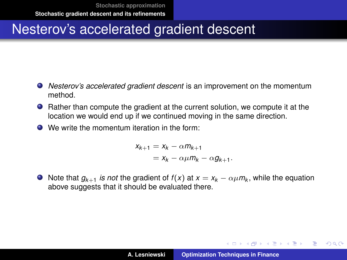# Nesterov's accelerated gradient descent

- *Nesterov's accelerated gradient descent* is an improvement on the momentum method.
- Rather than compute the gradient at the current solution, we compute it at the location we would end up if we continued moving in the same direction.
- **●** We write the momentum iteration in the form:

 $X_{k+1} = X_k - \alpha m_{k+1}$  $= x_k - \alpha \mu m_k - \alpha g_{k+1}.$ 

Note that  $g_{k+1}$  *is not* the gradient of  $f(x)$  at  $x = x_k - \alpha \mu m_k$ , while the equation above suggests that it should be evaluated there.

イロト イ母 トイ ヨ トイ ヨ トー ヨー

 $2990$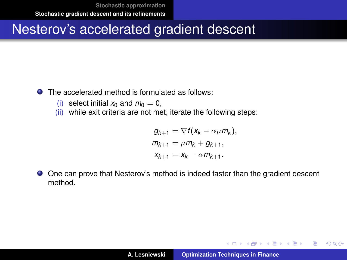# Nesterov's accelerated gradient descent

- **O** The accelerated method is formulated as follows:
	- (i) select initial  $x_0$  and  $m_0 = 0$ ,<br>(ii) while exit criteria are not me
	- while exit criteria are not met, iterate the following steps:

$$
g_{k+1} = \nabla f(x_k - \alpha \mu m_k),
$$
  
\n
$$
m_{k+1} = \mu m_k + g_{k+1},
$$
  
\n
$$
x_{k+1} = x_k - \alpha m_{k+1}.
$$

 $\bullet$ One can prove that Nesterov's method is indeed faster than the gradient descent method.

イロメ イ部メ イヨメ イヨメー

 $299$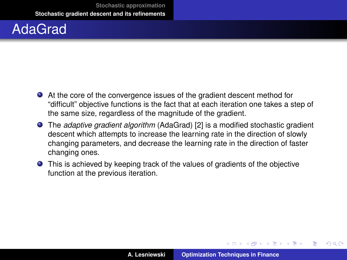# AdaGrad

- At the core of the convergence issues of the gradient descent method for "difficult" objective functions is the fact that at each iteration one takes a step of the same size, regardless of the magnitude of the gradient.
- The *adaptive gradient algorithm* (AdaGrad) [\[2\]](#page-29-3) is a modified stochastic gradient descent which attempts to increase the learning rate in the direction of slowly changing parameters, and decrease the learning rate in the direction of faster changing ones.
- This is achieved by keeping track of the values of gradients of the objective function at the previous iteration.

K ロ ▶ K 御 ▶ K 唐 ▶ K 唐 ▶ .

 $QQ$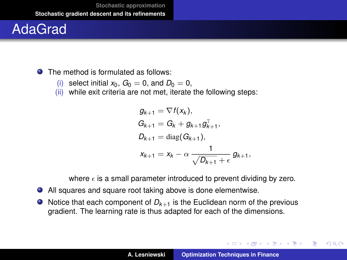# AdaGrad

**O** The method is formulated as follows:

- (i) select initial  $x_0$ ,  $G_0 = 0$ , and  $D_0 = 0$ , (ii) while exit criteria are not met. iterate
- while exit criteria are not met, iterate the following steps:

$$
g_{k+1} = \nabla f(x_k),
$$
  
\n
$$
G_{k+1} = G_k + g_{k+1}g_{k+1}^T,
$$
  
\n
$$
D_{k+1} = \text{diag}(G_{k+1}),
$$
  
\n
$$
x_{k+1} = x_k - \alpha \frac{1}{\sqrt{D_{k+1}} + \epsilon} g_{k+1},
$$

where  $\epsilon$  is a small parameter introduced to prevent dividing by zero.

- All squares and square root taking above is done elementwise.
- $\bullet$  Notice that each component of  $D_{k+1}$  is the Euclidean norm of the previous gradient. The learning rate is thus adapted for each of the dimensions.

イロメ イ部メ イヨメ イヨメー

 $299$ 

Þ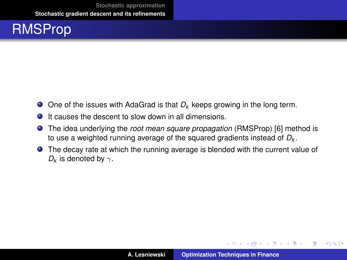

- One of the issues with AdaGrad is that  $D_k$  keeps growing in the long term.
- $\bullet$  It causes the descent to slow down in all dimensions.
- The idea underlying the *root mean square propagation* (RMSProp) [\[6\]](#page-29-4) method is to use a weighted running average of the squared gradients instead of *D<sup>k</sup>* .
- The decay rate at which the running average is blended with the current value of  $D_k$  is denoted by  $\gamma$ .

イロメ イ部メ イヨメ イヨメー

 $299$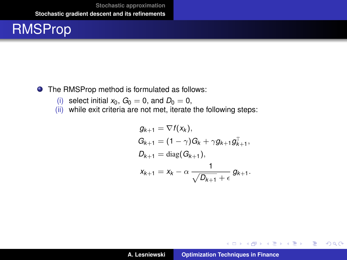# RMSProp

#### ● The RMSProp method is formulated as follows:

- (i) select initial  $x_0$ ,  $G_0 = 0$ , and  $D_0 = 0$ , (ii) while exit criteria are not met, iterate
- while exit criteria are not met, iterate the following steps:

$$
g_{k+1} = \nabla f(x_k),
$$
  
\n
$$
G_{k+1} = (1 - \gamma)G_k + \gamma g_{k+1}g_{k+1}^T,
$$
  
\n
$$
D_{k+1} = \text{diag}(G_{k+1}),
$$
  
\n
$$
x_{k+1} = x_k - \alpha \frac{1}{\sqrt{D_{k+1}} + \epsilon} g_{k+1}.
$$

イロメ イ部メ イヨメ イヨメー

重

 $298$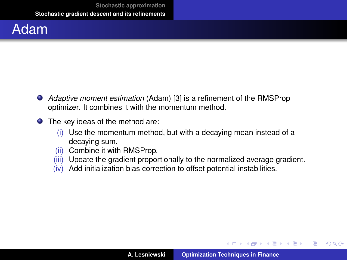#### Adam

- *Adaptive moment estimation* (Adam) [\[3\]](#page-29-5) is a refinement of the RMSProp optimizer. It combines it with the momentum method.
- The key ideas of the method are:
	- (i) Use the momentum method, but with a decaying mean instead of a decaying sum.
	- (ii) Combine it with RMSProp.
	- (iii) Update the gradient proportionally to the normalized average gradient.
	- (iv) Add initialization bias correction to offset potential instabilities.

イロメ イ部メ イヨメ イヨメー

 $299$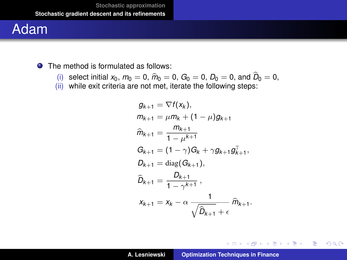# Adam

● The method is formulated as follows:

- (i) select initial  $x_0$ ,  $m_0 = 0$ ,  $\hat{m}_0 = 0$ ,  $G_0 = 0$ ,  $D_0 = 0$ , and  $D_0 = 0$ , <br>(ii) while oxit criteria are not mot, iterate the following stops:
- (ii) while exit criteria are not met, iterate the following steps:

$$
g_{k+1} = \nabla f(x_k),
$$
  
\n
$$
m_{k+1} = \mu m_k + (1 - \mu)g_{k+1}
$$
  
\n
$$
\hat{m}_{k+1} = \frac{m_{k+1}}{1 - \mu^{k+1}}
$$
  
\n
$$
G_{k+1} = (1 - \gamma)G_k + \gamma g_{k+1}g_{k+1}^T,
$$
  
\n
$$
D_{k+1} = \text{diag}(G_{k+1}),
$$
  
\n
$$
\hat{D}_{k+1} = \frac{D_{k+1}}{1 - \gamma^{k+1}},
$$
  
\n
$$
x_{k+1} = x_k - \alpha \frac{1}{\sqrt{\hat{D}_{k+1}} + \epsilon} \hat{m}_{k+1}.
$$

イロトメ 御 トメ き トメ き トー

■ 1  $298$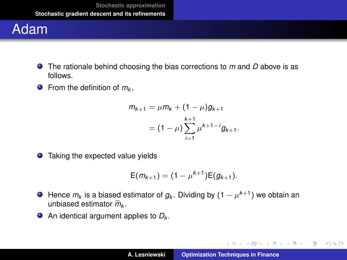# Adam

- The rationale behind choosing the bias corrections to *m* and *D* above is as follows.
- From the definition of *m<sup>k</sup>* ,

$$
m_{k+1} = \mu m_k + (1 - \mu)g_{k+1}
$$
  
=  $(1 - \mu) \sum_{i=1}^{k+1} \mu^{k+1-i} g_{k+1}.$ 

● Taking the expected value yields

$$
E(m_{k+1}) = (1 - \mu^{k+1})E(g_{k+1}).
$$

- Hence  $m_k$  is a biased estimator of  $g_k$ . Dividing by  $(1-\mu^{k+1})$  we obtain an unbiased estimator  $\widehat{m}_{k}$ .
- An identical argument applies to *D<sup>k</sup>* .

イロン イ母ン イヨン イヨン 一君

 $2990$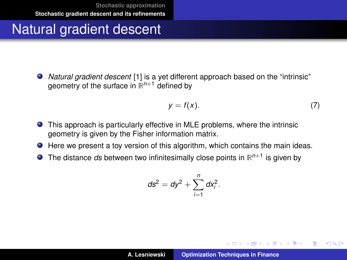# Natural gradient descent

*Natural gradient descent* [\[1\]](#page-29-6) is a yet different approach based on the "intrinsic" geometry of the surface in **R** *<sup>n</sup>*+<sup>1</sup> defined by

<span id="page-23-0"></span>
$$
y = f(x). \tag{7}
$$

イロメ イ団メ イヨメ イヨメー

 $299$ 

- This approach is particularly effective in MLE problems, where the intrinsic geometry is given by the Fisher information matrix.
- Here we present a toy version of this algorithm, which contains the main ideas.
- The distance *ds* between two infinitesimally close points in **R** *n*+1 is given by

$$
ds^2 = dy^2 + \sum_{i=1}^n dx_i^2.
$$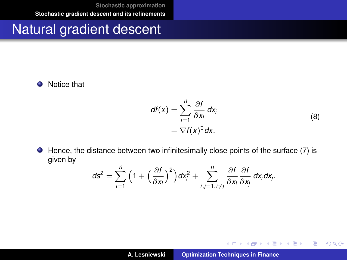#### Natural gradient descent

• Notice that

$$
df(x) = \sum_{i=1}^{n} \frac{\partial f}{\partial x_i} dx_i
$$
  
=  $\nabla f(x)^T dx$ . (8)

イロメ イ部メ イヨメ イヨメー

重

 $2QQ$ 

<span id="page-24-0"></span> $\bullet$  Hence, the distance between two infinitesimally close points of the surface [\(7\)](#page-23-0) is given by

$$
ds^2 = \sum_{i=1}^n \Big(1 + \Big(\frac{\partial f}{\partial x_i}\Big)^2\Big)dx_i^2 + \sum_{i,j=1, i\neq j}^n \frac{\partial f}{\partial x_i}\frac{\partial f}{\partial x_j}dx_i dx_j.
$$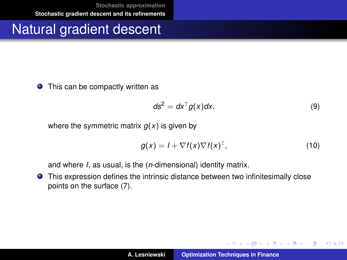### Natural gradient descent

● This can be compactly written as

<span id="page-25-0"></span>
$$
ds^2 = dx^{\mathrm{T}} g(x) dx, \qquad (9)
$$

where the symmetric matrix  $q(x)$  is given by

$$
g(x) = I + \nabla f(x) \nabla f(x)^{\mathrm{T}}, \qquad (10)
$$

イロメ イ部メ イヨメ イヨメー

 $299$ 

重

and where *I*, as usual, is the (*n*-dimensional) identity matrix.

This expression defines the intrinsic distance between two infinitesimally close points on the surface [\(7\)](#page-23-0).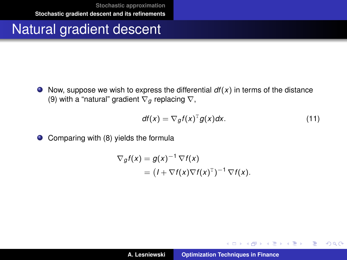#### Natural gradient descent

 $\bullet$  Now, suppose we wish to express the differential  $df(x)$  in terms of the distance [\(9\)](#page-25-0) with a "natural" gradient  $\nabla_a$  replacing  $\nabla$ ,

$$
df(x) = \nabla_g f(x)^T g(x) dx.
$$
 (11)

イロメ イ部メ イヨメ イヨメー

 $299$ 

重

 $\bullet$ Comparing with [\(8\)](#page-24-0) yields the formula

$$
\nabla_g f(x) = g(x)^{-1} \nabla f(x)
$$
  
=  $(I + \nabla f(x) \nabla f(x)^T)^{-1} \nabla f(x).$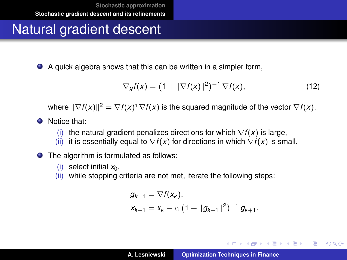# Natural gradient descent

A quick algebra shows that this can be written in a simpler form,

$$
\nabla_g f(x) = \left(1 + \|\nabla f(x)\|^2\right)^{-1} \nabla f(x),\tag{12}
$$

where  $\|\nabla f(x)\|^2 = \nabla f(x)^T \nabla f(x)$  is the squared magnitude of the vector  $\nabla f(x)$ .

- **O** Notice that:
	- (i) the natural gradient penalizes directions for which  $\nabla f(x)$  is large,
	- (ii) it is essentially equal to  $\nabla f(x)$  for directions in which  $\nabla f(x)$  is small.
- The algorithm is formulated as follows:
	- (i) select initial  $x_0$ .
	- (ii) while stopping criteria are not met, iterate the following steps:

$$
g_{k+1} = \nabla f(x_k),
$$
  
\n
$$
x_{k+1} = x_k - \alpha \left(1 + \|g_{k+1}\|^2\right)^{-1} g_{k+1}.
$$

K ロ ⊁ K 伊 ⊁ K 君 ⊁ K 君 ⊁ …

 $\equiv$  990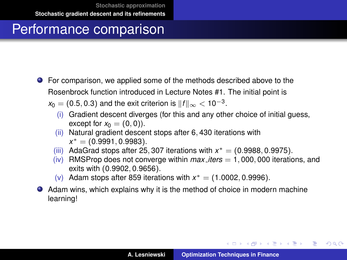## Performance comparison

For comparison, we applied some of the methods described above to the Rosenbrock function introduced in Lecture Notes #1. The initial point is

 $x_0 = (0.5, 0.3)$  and the exit criterion is  $\|f\|_\infty < 10^{-3}.$ 

- (i) Gradient descent diverges (for this and any other choice of initial guess, except for  $x_0 = (0, 0)$ .
- (ii) Natural gradient descent stops after 6, 430 iterations with *x* <sup>∗</sup> = (0.9991, 0.9983).
- (iii) AdaGrad stops after 25, 307 iterations with  $x^* = (0.9988, 0.9975)$ .
- $(iv)$  RMSProp does not converge within  $max\_iters = 1,000,000$  iterations, and exits with (0.9902, 0.9656).
- (v) Adam stops after 859 iterations with  $x^* = (1.0002, 0.9996)$ .
- Adam wins, which explains why it is the method of choice in modern machine learning!

イロメ イ団メ イヨメ イヨメー

÷.

 $298$